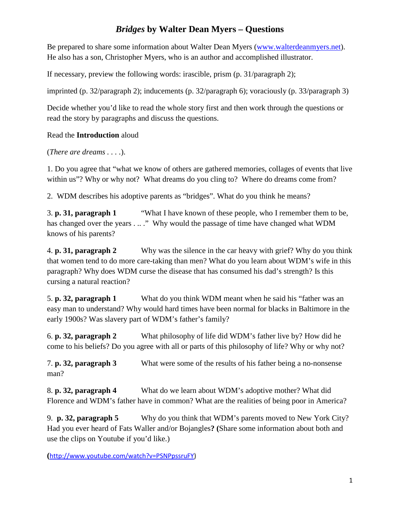# *Bridges* **by Walter Dean Myers – Questions**

Be prepared to share some information about Walter Dean Myers [\(www.walterdeanmyers.net\)](http://www.walterdeanmyers.net/). He also has a son, Christopher Myers, who is an author and accomplished illustrator.

If necessary, preview the following words: irascible, prism (p. 31/paragraph 2);

imprinted (p. 32/paragraph 2); inducements (p. 32/paragraph 6); voraciously (p. 33/paragraph 3)

Decide whether you'd like to read the whole story first and then work through the questions or read the story by paragraphs and discuss the questions.

### Read the **Introduction** aloud

(*There are dreams . . . .*).

1. Do you agree that "what we know of others are gathered memories, collages of events that live within us"? Why or why not? What dreams do you cling to? Where do dreams come from?

2. WDM describes his adoptive parents as "bridges". What do you think he means?

3. **p. 31, paragraph 1** "What I have known of these people, who I remember them to be, has changed over the years . .. ." Why would the passage of time have changed what WDM knows of his parents?

4. **p. 31, paragraph 2** Why was the silence in the car heavy with grief? Why do you think that women tend to do more care-taking than men? What do you learn about WDM's wife in this paragraph? Why does WDM curse the disease that has consumed his dad's strength? Is this cursing a natural reaction?

5. **p. 32, paragraph 1** What do you think WDM meant when he said his "father was an easy man to understand? Why would hard times have been normal for blacks in Baltimore in the early 1900s? Was slavery part of WDM's father's family?

6. **p. 32, paragraph 2** What philosophy of life did WDM's father live by? How did he come to his beliefs? Do you agree with all or parts of this philosophy of life? Why or why not?

7. **p. 32, paragraph 3** What were some of the results of his father being a no-nonsense man?

8. **p. 32, paragraph 4** What do we learn about WDM's adoptive mother? What did Florence and WDM's father have in common? What are the realities of being poor in America?

9. **p. 32, paragraph 5** Why do you think that WDM's parents moved to New York City? Had you ever heard of Fats Waller and/or Bojangles**? (**Share some information about both and use the clips on Youtube if you'd like.)

**(**[http://www.youtube.com/watch?v=PSNPpssruFY\)](http://www.youtube.com/watch?v=PSNPpssruFY)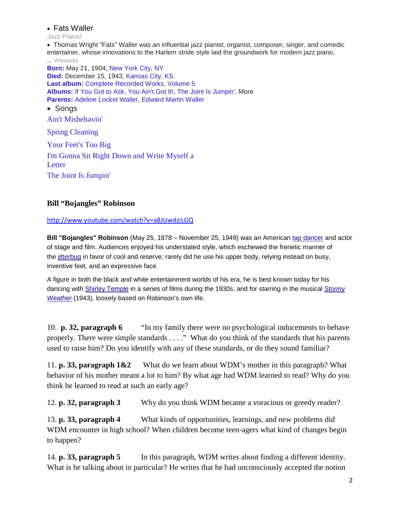#### • Fats Waller

Jazz Pianist

• Thomas Wright "Fats" Waller was an influential jazz pianist, organist, composer, singer, and comedic entertainer, whose innovations to the Harlem stride style laid the groundwork for modern jazz piano, ... [Wikipedia](http://en.wikipedia.org/wiki/Fats_Waller)

**[Born:](https://www.google.com/search?biw=1089&bih=882&q=fats+waller+born&stick=H4sIAAAAAAAAAGOovnz8BQMDgy4HnxCHfq6-QZplhaWWfHaylX5Ban5BTqp-SmpyamJxakp8QWpRcX6eVVJ-Ud6nO0oqfXl3YpqY7i0Q2LPPPa864xIAObMNIUoAAAA&sa=X&ei=REJMUp7SHYH-9gT43ICQBA&ved=0CKEBEOgTKAEwFA)** May 21, 1904, [New York City, NY](https://www.google.com/search?biw=1089&bih=882&q=nyc&stick=H4sIAAAAAAAAAGOovnz8BQMDgwUHnxCHfq6-QZplhaUSJ4hlFG9kYaYln51spV-Qml-Qk6qfkpqcmlicmhJfkFpUnJ9nlZRflGfJ2aHcNX2bS9I3VWNRac5p_jYiKwGdnMWzVQAAAA&sa=X&ei=REJMUp7SHYH-9gT43ICQBA&ved=0CKIBEJsTKAIwFA) **[Died:](https://www.google.com/search?biw=1089&bih=882&q=fats+waller+died&stick=H4sIAAAAAAAAAGOovnz8BQMDgy4HnxCHfq6-QZplhaWWfHaylX5Ban5BTqp-SmpyamJxakp8QWpRcX6eVUpmaorjPQ0959zGNfslOxcG2B9btv230HwAGTvWtUoAAAA&sa=X&ei=REJMUp7SHYH-9gT43ICQBA&ved=0CKUBEOgTKAEwFA)** December 15, 1943, [Kansas City, KS](https://www.google.com/search?biw=1089&bih=882&q=kansas+city+ks&stick=H4sIAAAAAAAAAGOovnz8BQMDgzkHnxCHfq6-QZplhaUSmFWSnGWmJZ-dbKVfkJpfkJOqn5KanJpYnJoSX5BaVJyfZ5WSmZoy-8SNYAWviyIsVqWzhV9XKH68qyIEAN00yKFUAAAA&sa=X&ei=REJMUp7SHYH-9gT43ICQBA&ved=0CKYBEJsTKAIwFA) **[Last album:](https://www.google.com/search?biw=1089&bih=882&q=fats+waller+last+album&stick=H4sIAAAAAAAAAAFQAK__AHvTx-gAAAAzCA4SCC9tLzBmOXg5KiVrYzovcGVvcGxlL2RlY2Vhc2VkX3BlcnNvbjpsYXN0IGFsYnVtvC8B5NQe8J-n-7Kc5_-_4iEdz9PczWCBUAAAAA&sa=X&ei=REJMUp7SHYH-9gT43ICQBA&ved=0CKkBEOgTKAEwFA)** [Complete Recorded Works, Volume 5](https://www.google.com/search?biw=1089&bih=882&q=fats+waller+complete+recorded+works,+volume+5&stick=H4sIAAAAAAAAAGOovnz8BQMDgz0HnxCHfq6-QZplhaUSF4iVbpCSlGeupZqdbKVfkJpfkJOqn5KanJpYnJoSX5BaVJyfZ5WTWFyikJiTVJrL-TyyXSXzdrXekbk_Oe9PSjqweVYvADwTHcVcAAAA&sa=X&ei=REJMUp7SHYH-9gT43ICQBA&ved=0CKoBEJsTKAIwFA) **[Albums:](https://www.google.com/search?biw=1089&bih=882&q=fats+waller+albums&stick=H4sIAAAAAAAAAGOovnz8BQMDgyoHnxCHfq6-QZplhaWWeHaylX5uaXFmsn5iUUlmcYlVYk5SaW7x4edhLkmxmabmKk4_2BR2ZH7I7FkPAIu6XD9CAAAA&sa=X&ei=REJMUp7SHYH-9gT43ICQBA&ved=0CK0BEOgTKAEwFA)** [If You Got to Ask, You Ain't Got It!,](https://www.google.com/search?biw=1089&bih=882&q=if+you+got+to+ask+you+ain) [The Joint Is Jumpin',](https://www.google.com/search?biw=1089&bih=882&q=fats+waller+the+joint+is+jumpin) More **[Parents:](https://www.google.com/search?biw=1089&bih=882&q=fats+waller+parents&stick=H4sIAAAAAAAAAGOovnz8BQMDgzoHnxCHfq6-QZplhaWWZHaylX5Ban5BTiqQKirOz7MqSCxKzSspfpq88-4D8bslIUV5V04cKHaucP2pCQAvEiomRAAAAA&sa=X&ei=REJMUp7SHYH-9gT43ICQBA&ved=0COMBEOgTKAEwFA)** [Adeline Locket Waller,](https://www.google.com/search?biw=1089&bih=882&q=fats+waller+adeline+locket+waller&stick=H4sIAAAAAAAAAGOovnz8BQMDgzEHnxCHfq6-QZplhaUSF4hVZpibZ1GkJZmdbKVfkJpfkJMKpIqK8_OsChKLUvNKilWLq6KuB55MnJATzKZnVbzr9vR5YgAFzR9wUAAAAA&sa=X&ei=REJMUp7SHYH-9gT43ICQBA&ved=0COQBEJsTKAIwFA) [Edward Martin Waller](https://www.google.com/search?biw=1089&bih=882&q=fats+waller+edward+martin+waller&stick=H4sIAAAAAAAAAGOovnz8BQMDgzEHnxCHfq6-QZplhaUSF4hVZpibl5ShJZmdbKVfkJpfkJMKpIqK8_OsChKLUvNKire4tLxdUjZr1_XjNw72xQtXiBsKtQEAu8OZJVAAAAA&sa=X&ei=REJMUp7SHYH-9gT43ICQBA&ved=0COUBEJsTKAMwFA) • Sonas

[Ain't Misbehavin'](https://www.google.com/search?biw=1089&bih=882&q=fats+waller+ain+t+misbehavin&stick=H4sIAAAAAAAAAGOovnz8BQMDgzYHsxCHfq6-QZplhaUSF5hVZpKUkacl6FtanJnsWFSSWVwSkh-cn5e-_v_fF0esbmx8MP3drH1-X2OnLTC7CgBYRj51SAAAAA&sa=X&ei=REJMUp7SHYH-9gT43ICQBA&ved=0COsBEMQNMBU)

[Spring Cleaning](https://www.google.com/search?biw=1089&bih=882&q=fats+waller+spring+cleaning&stick=H4sIAAAAAAAAAGOovnz8BQMDgzYHsxCHfq6-QZplhaUSF4hlaGAaX2KpJehbWpyZ7FhUkllcEpIfnJ-XHi4gv9eo6Fu3c9wDH9Fd-WpvhM7tBwDScPLlSAAAAA&sa=X&ei=REJMUp7SHYH-9gT43ICQBA&ved=0CO4BEMQNMBU)

[Your Feet's Too Big](https://www.google.com/search?biw=1089&bih=882&q=fats+waller+your+feet) [I'm Gonna Sit Right Down and Write Myself a](https://www.google.com/search?biw=1089&bih=882&q=fats+waller+i+m+gonna+sit+right+down+and+write+myself+a+letter&stick=H4sIAAAAAAAAAGOovnz8BQMDgzYHsxCHfq6-QZplhaUSF5hVlmycU6gl6FtanJnsWFSSWVwSkh-cn5fuZpiqUiaabc58097Stdxu6o_oPDkARAr-x0gAAAA&sa=X&ei=REJMUp7SHYH-9gT43ICQBA&ved=0CPQBEMQNMBU)  [Letter](https://www.google.com/search?biw=1089&bih=882&q=fats+waller+i+m+gonna+sit+right+down+and+write+myself+a+letter&stick=H4sIAAAAAAAAAGOovnz8BQMDgzYHsxCHfq6-QZplhaUSF5hVlmycU6gl6FtanJnsWFSSWVwSkh-cn5fuZpiqUiaabc58097Stdxu6o_oPDkARAr-x0gAAAA&sa=X&ei=REJMUp7SHYH-9gT43ICQBA&ved=0CPQBEMQNMBU) [The Joint Is Jumpin'](https://www.google.com/search?biw=1089&bih=882&q=fats+waller+the+joint+is+jumpin&stick=H4sIAAAAAAAAAGOovnz8BQMDgzYHsxCHfq6-QZplhaUSF4iVUl5kZmKhJehbWpyZ7FhUkllcEpIfnJ-X_rE_wKnSbHOg69fW6bdSO_nS6p9nAACfDFj1SAAAAA&sa=X&ei=REJMUp7SHYH-9gT43ICQBA&ved=0CPcBEMQNMBU)

### **Bill "Bojangles" Robinson**

#### <http://www.youtube.com/watch?v=a8JUwdziLGQ>

**Bill "Bojangles" Robinson** (May 25, 1878 – November 25, 1949) was an American [tap dancer](http://en.wikipedia.org/wiki/Tap_dance) and actor of stage and film. Audiences enjoyed his understated style, which eschewed the frenetic manner of the [jitterbug](http://en.wikipedia.org/wiki/Jitterbug) in favor of cool and reserve; rarely did he use his upper body, relying instead on busy, inventive feet, and an expressive face.

A figure in both the black and white entertainment worlds of his era, he is best known today for his dancing with [Shirley Temple](http://en.wikipedia.org/wiki/Shirley_Temple) in a series of films during the 1930s, and for starring in the musical *[Stormy](http://en.wikipedia.org/wiki/Stormy_Weather_(1943_film))  [Weather](http://en.wikipedia.org/wiki/Stormy_Weather_(1943_film))* (1943), loosely based on Robinson's own life.

10. **p. 32, paragraph 6** "In my family there were no psychological inducements to behave properly. There were simple standards . . . ." What do you think of the standards that his parents used to raise him? Do you identify with any of these standards, or do they sound familiar?

11. **p. 33, paragraph 1&2** What do we learn about WDM's mother in this paragraph? What behavior of his mother meant a lot to him? By what age had WDM learned to read? Why do you think he learned to read at such an early age?

12. **p. 32, paragraph 3** Why do you think WDM became a voracious or greedy reader?

13. **p. 33, paragraph 4** What kinds of opportunities, learnings, and new problems did WDM encounter in high school? When children become teen-agers what kind of changes begin to happen?

14. **p. 33, paragraph 5** In this paragraph, WDM writes about finding a different identity. What is he talking about in particular? He writes that he had unconsciously accepted the notion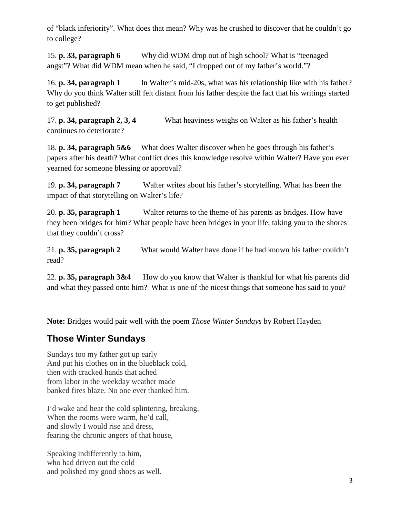of "black inferiority". What does that mean? Why was he crushed to discover that he couldn't go to college?

15. **p. 33, paragraph 6** Why did WDM drop out of high school? What is "teenaged angst"? What did WDM mean when he said, "I dropped out of my father's world."?

16. **p. 34, paragraph 1** In Walter's mid-20s, what was his relationship like with his father? Why do you think Walter still felt distant from his father despite the fact that his writings started to get published?

17. **p. 34, paragraph 2, 3, 4** What heaviness weighs on Walter as his father's health continues to deteriorate?

18. **p. 34, paragraph 5&6** What does Walter discover when he goes through his father's papers after his death? What conflict does this knowledge resolve within Walter? Have you ever yearned for someone blessing or approval?

19. **p. 34, paragraph 7** Walter writes about his father's storytelling. What has been the impact of that storytelling on Walter's life?

20. **p. 35, paragraph 1** Walter returns to the theme of his parents as bridges. How have they been bridges for him? What people have been bridges in your life, taking you to the shores that they couldn't cross?

21. **p. 35, paragraph 2** What would Walter have done if he had known his father couldn't read?

22. **p. 35, paragraph 3&4** How do you know that Walter is thankful for what his parents did and what they passed onto him? What is one of the nicest things that someone has said to you?

**Note:** Bridges would pair well with the poem *Those Winter Sundays* by Robert Hayden

# **Those Winter Sundays**

Sundays too my father got up early And put his clothes on in the blueblack cold, then with cracked hands that ached from labor in the weekday weather made banked fires blaze. No one ever thanked him.

I'd wake and hear the cold splintering, breaking. When the rooms were warm, he'd call. and slowly I would rise and dress, fearing the chronic angers of that house,

Speaking indifferently to him, who had driven out the cold and polished my good shoes as well.